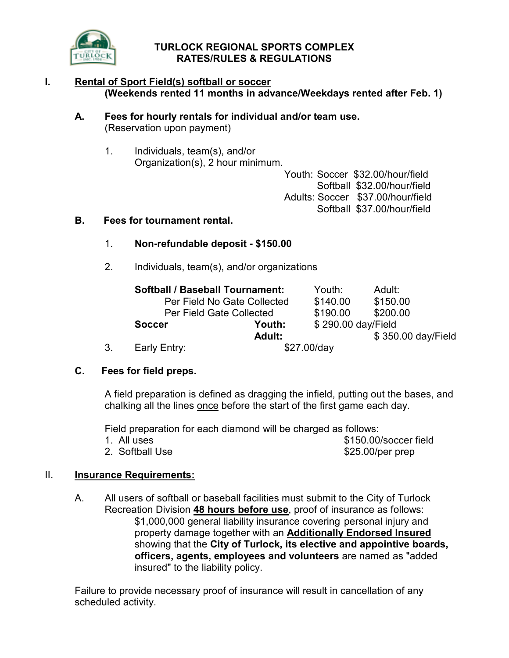

## TURLOCK REGIONAL SPORTS COMPLEX RATES/RULES & REGULATIONS

## I. Rental of Sport Field(s) softball or soccer (Weekends rented 11 months in advance/Weekdays rented after Feb. 1)

## A. Fees for hourly rentals for individual and/or team use. (Reservation upon payment)

 1. Individuals, team(s), and/or Organization(s), 2 hour minimum.

 Youth: Soccer \$32.00/hour/field Softball \$32.00/hour/field Adults: Soccer \$37.00/hour/field Softball \$37.00/hour/field

## B. Fees for tournament rental.

## 1. Non-refundable deposit - \$150.00

2. Individuals, team(s), and/or organizations

|    | <b>Softball / Baseball Tournament:</b> |                             | Youth:             | Adult:             |
|----|----------------------------------------|-----------------------------|--------------------|--------------------|
|    |                                        | Per Field No Gate Collected |                    | \$150.00           |
|    | Per Field Gate Collected               |                             | \$190.00           | \$200.00           |
|    | <b>Soccer</b>                          | Youth:                      | \$290.00 day/Field |                    |
|    |                                        | Adult:                      |                    | \$350.00 day/Field |
| 3. | Early Entry:                           |                             | \$27.00/day        |                    |

## C. Fees for field preps.

A field preparation is defined as dragging the infield, putting out the bases, and chalking all the lines once before the start of the first game each day.

Field preparation for each diamond will be charged as follows:

| 1. All uses     | \$150.00/soccer field |
|-----------------|-----------------------|
| 2. Softball Use | $$25.00/per$ prep     |

## II. **Insurance Requirements:**

 A. All users of softball or baseball facilities must submit to the City of Turlock Recreation Division 48 hours before use, proof of insurance as follows: \$1,000,000 general liability insurance covering personal injury and property damage together with an Additionally Endorsed Insured showing that the City of Turlock, its elective and appointive boards, officers, agents, employees and volunteers are named as "added insured" to the liability policy.

 Failure to provide necessary proof of insurance will result in cancellation of any scheduled activity.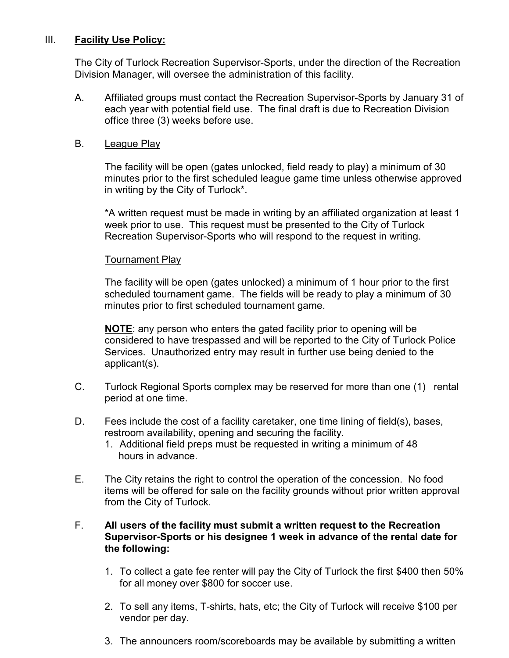## III. Facility Use Policy:

 The City of Turlock Recreation Supervisor-Sports, under the direction of the Recreation Division Manager, will oversee the administration of this facility.

 A. Affiliated groups must contact the Recreation Supervisor-Sports by January 31 of each year with potential field use. The final draft is due to Recreation Division office three (3) weeks before use.

## B. League Play

 The facility will be open (gates unlocked, field ready to play) a minimum of 30 minutes prior to the first scheduled league game time unless otherwise approved in writing by the City of Turlock\*.

 \*A written request must be made in writing by an affiliated organization at least 1 week prior to use. This request must be presented to the City of Turlock Recreation Supervisor-Sports who will respond to the request in writing.

## Tournament Play

 The facility will be open (gates unlocked) a minimum of 1 hour prior to the first scheduled tournament game. The fields will be ready to play a minimum of 30 minutes prior to first scheduled tournament game.

NOTE: any person who enters the gated facility prior to opening will be considered to have trespassed and will be reported to the City of Turlock Police Services. Unauthorized entry may result in further use being denied to the applicant(s).

- C. Turlock Regional Sports complex may be reserved for more than one (1) rental period at one time.
- D. Fees include the cost of a facility caretaker, one time lining of field(s), bases, restroom availability, opening and securing the facility.
	- 1. Additional field preps must be requested in writing a minimum of 48 hours in advance.
- E. The City retains the right to control the operation of the concession. No food items will be offered for sale on the facility grounds without prior written approval from the City of Turlock.

## F. All users of the facility must submit a written request to the Recreation Supervisor-Sports or his designee 1 week in advance of the rental date for the following:

- 1. To collect a gate fee renter will pay the City of Turlock the first \$400 then 50% for all money over \$800 for soccer use.
- 2. To sell any items, T-shirts, hats, etc; the City of Turlock will receive \$100 per vendor per day.
- 3. The announcers room/scoreboards may be available by submitting a written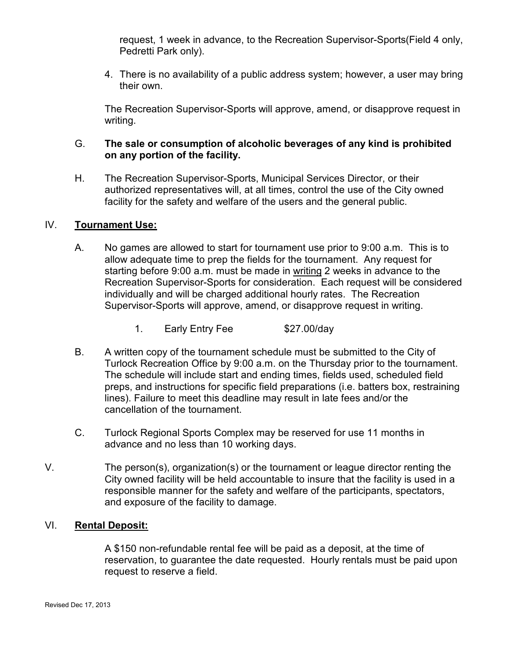request, 1 week in advance, to the Recreation Supervisor-Sports(Field 4 only, Pedretti Park only).

4. There is no availability of a public address system; however, a user may bring their own.

 The Recreation Supervisor-Sports will approve, amend, or disapprove request in writing.

## G. The sale or consumption of alcoholic beverages of any kind is prohibited on any portion of the facility.

 H. The Recreation Supervisor-Sports, Municipal Services Director, or their authorized representatives will, at all times, control the use of the City owned facility for the safety and welfare of the users and the general public.

## IV. Tournament Use:

- A. No games are allowed to start for tournament use prior to 9:00 a.m. This is to allow adequate time to prep the fields for the tournament. Any request for starting before 9:00 a.m. must be made in writing 2 weeks in advance to the Recreation Supervisor-Sports for consideration. Each request will be considered individually and will be charged additional hourly rates. The Recreation Supervisor-Sports will approve, amend, or disapprove request in writing.
	- 1. Early Entry Fee \$27.00/day
- B. A written copy of the tournament schedule must be submitted to the City of Turlock Recreation Office by 9:00 a.m. on the Thursday prior to the tournament. The schedule will include start and ending times, fields used, scheduled field preps, and instructions for specific field preparations (i.e. batters box, restraining lines). Failure to meet this deadline may result in late fees and/or the cancellation of the tournament.
- C. Turlock Regional Sports Complex may be reserved for use 11 months in advance and no less than 10 working days.
- V. The person(s), organization(s) or the tournament or league director renting the City owned facility will be held accountable to insure that the facility is used in a responsible manner for the safety and welfare of the participants, spectators, and exposure of the facility to damage.

## VI. Rental Deposit:

 A \$150 non-refundable rental fee will be paid as a deposit, at the time of reservation, to guarantee the date requested. Hourly rentals must be paid upon request to reserve a field.